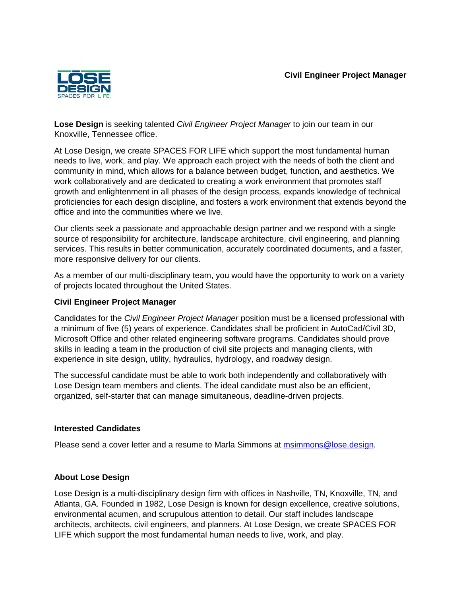

**Lose Design** is seeking talented *Civil Engineer Project Manager* to join our team in our Knoxville, Tennessee office.

At Lose Design, we create SPACES FOR LIFE which support the most fundamental human needs to live, work, and play. We approach each project with the needs of both the client and community in mind, which allows for a balance between budget, function, and aesthetics. We work collaboratively and are dedicated to creating a work environment that promotes staff growth and enlightenment in all phases of the design process, expands knowledge of technical proficiencies for each design discipline, and fosters a work environment that extends beyond the office and into the communities where we live.

Our clients seek a passionate and approachable design partner and we respond with a single source of responsibility for architecture, landscape architecture, civil engineering, and planning services. This results in better communication, accurately coordinated documents, and a faster, more responsive delivery for our clients.

As a member of our multi-disciplinary team, you would have the opportunity to work on a variety of projects located throughout the United States.

## **Civil Engineer Project Manager**

Candidates for the *Civil Engineer Project Manager* position must be a licensed professional with a minimum of five (5) years of experience. Candidates shall be proficient in AutoCad/Civil 3D, Microsoft Office and other related engineering software programs. Candidates should prove skills in leading a team in the production of civil site projects and managing clients, with experience in site design, utility, hydraulics, hydrology, and roadway design.

The successful candidate must be able to work both independently and collaboratively with Lose Design team members and clients. The ideal candidate must also be an efficient, organized, self-starter that can manage simultaneous, deadline-driven projects.

## **Interested Candidates**

Please send a cover letter and a resume to Marla Simmons at msimmons@lose.design.

## **About Lose Design**

Lose Design is a multi-disciplinary design firm with offices in Nashville, TN, Knoxville, TN, and Atlanta, GA. Founded in 1982, Lose Design is known for design excellence, creative solutions, environmental acumen, and scrupulous attention to detail. Our staff includes landscape architects, architects, civil engineers, and planners. At Lose Design, we create SPACES FOR LIFE which support the most fundamental human needs to live, work, and play.